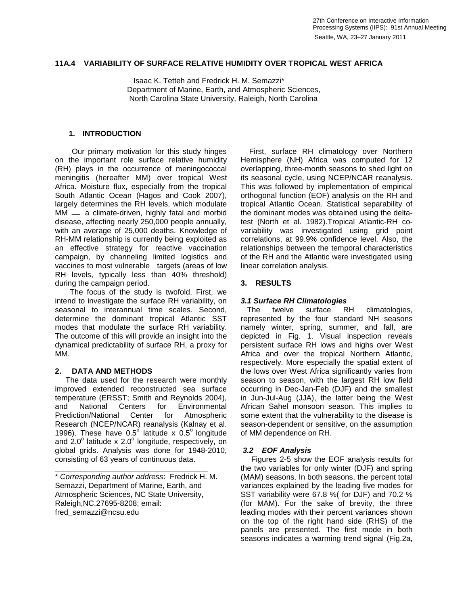#### **11A.4 VARIABILITY OF SURFACE RELATIVE HUMIDITY OVER TROPICAL WEST AFRICA 23–27 January 2011**

 Isaac K. Tetteh and Fredrick H. M. Semazzi\* Department of Marine, Earth, and Atmospheric Sciences, North Carolina State University, Raleigh, North Carolina

### **1. INTRODUCTION**

 Our primary motivation for this study hinges on the important role surface relative humidity (RH) plays in the occurrence of meningococcal meningitis (hereafter MM) over tropical West Africa. Moisture flux, especially from the tropical South Atlantic Ocean (Hagos and Cook 2007), largely determines the RH levels, which modulate  $MM - a$  climate-driven, highly fatal and morbid disease, affecting nearly 250,000 people annually, with an average of 25,000 deaths. Knowledge of RH-MM relationship is currently being exploited as an effective strategy for reactive vaccination campaign, by channeling limited logistics and vaccines to most vulnerable targets (areas of low RH levels, typically less than 40% threshold) during the campaign period.

 The focus of the study is twofold. First, we intend to investigate the surface RH variability, on seasonal to interannual time scales. Second, determine the dominant tropical Atlantic SST modes that modulate the surface RH variability. The outcome of this will provide an insight into the dynamical predictability of surface RH, a proxy for MM.

## **2. DATA AND METHODS**

 The data used for the research were monthly improved extended reconstructed sea surface temperature (ERSST; Smith and Reynolds 2004), and National Centers for Environmental Prediction/National Center for Atmospheric Research (NCEP/NCAR) reanalysis (Kalnay et al. 1996). These have  $0.5^{\circ}$  latitude x  $0.5^{\circ}$  longitude and  $2.0^{\circ}$  latitude x  $2.0^{\circ}$  longitude, respectively, on global grids. Analysis was done for 1948-2010, consisting of 63 years of continuous data.

\_\_\_\_\_\_\_\_\_\_\_\_\_\_\_\_\_\_\_\_\_\_\_\_\_\_\_\_\_\_\_\_\_\_\_\_ \* *Corresponding author address*: Fredrick H. M. Semazzi, Department of Marine, Earth, and Atmospheric Sciences, NC State University, Raleigh,NC,27695-8208; email: fred\_semazzi@ncsu.edu

 First, surface RH climatology over Northern Hemisphere (NH) Africa was computed for 12 overlapping, three-month seasons to shed light on its seasonal cycle, using NCEP/NCAR reanalysis. This was followed by implementation of empirical orthogonal function (EOF) analysis on the RH and tropical Atlantic Ocean. Statistical separability of the dominant modes was obtained using the deltatest (North et al. 1982).Tropical Atlantic-RH covariability was investigated using grid point correlations, at 99.9% confidence level. Also, the relationships between the temporal characteristics of the RH and the Atlantic were investigated using linear correlation analysis.

## **3. RESULTS**

# *3.1 Surface RH Climatologies*

 The twelve surface RH climatologies, represented by the four standard NH seasons namely winter, spring, summer, and fall, are depicted in Fig. 1. Visual inspection reveals persistent surface RH lows and highs over West Africa and over the tropical Northern Atlantic, respectively. More especially the spatial extent of the lows over West Africa significantly varies from season to season, with the largest RH low field occurring in Dec-Jan-Feb (DJF) and the smallest in Jun-Jul-Aug (JJA), the latter being the West African Sahel monsoon season. This implies to some extent that the vulnerability to the disease is season-dependent or sensitive, on the assumption of MM dependence on RH.

## *3.2 EOF Analysis*

 Figures 2-5 show the EOF analysis results for the two variables for only winter (DJF) and spring (MAM) seasons. In both seasons, the percent total variances explained by the leading five modes for SST variability were 67.8 %( for DJF) and 70.2 % (for MAM). For the sake of brevity, the three leading modes with their percent variances shown on the top of the right hand side (RHS) of the panels are presented. The first mode in both seasons indicates a warming trend signal (Fig.2a,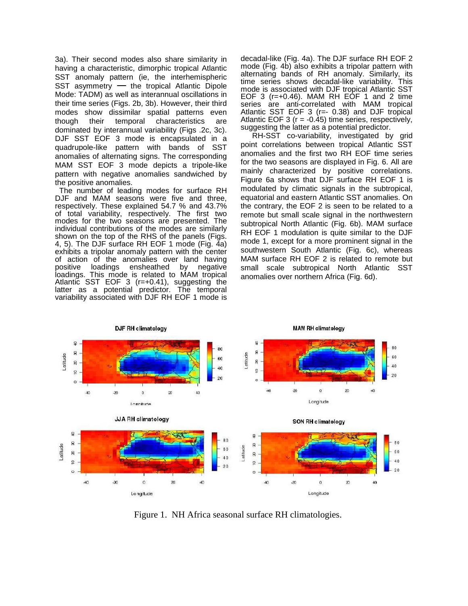3a). Their second modes also share similarity in having a characteristic, dimorphic tropical Atlantic SST anomaly pattern (ie, the interhemispheric SST asymmetry  $-$  the tropical Atlantic Dipole Mode: TADM) as well as interannual oscillations in their time series (Figs. 2b, 3b). However, their third modes show dissimilar spatial patterns even though their temporal characteristics are dominated by interannual variability (Figs .2c, 3c). DJF SST EOF 3 mode is encapsulated in a quadrupole-like pattern with bands of SST anomalies of alternating signs. The corresponding MAM SST EOF 3 mode depicts a tripole-like pattern with negative anomalies sandwiched by the positive anomalies.

 The number of leading modes for surface RH DJF and MAM seasons were five and three, respectively. These explained 54.7 % and 43.7% of total variability, respectively. The first two modes for the two seasons are presented. The individual contributions of the modes are similarly shown on the top of the RHS of the panels (Figs. 4, 5). The DJF surface RH EOF 1 mode (Fig. 4a) exhibits a tripolar anomaly pattern with the center of action of the anomalies over land having positive loadings ensheathed by negative loadings. This mode is related to MAM tropical Atlantic SST EOF 3 ( $r=+0.41$ ), suggesting the latter as a potential predictor. The temporal variability associated with DJF RH EOF 1 mode is

decadal-like (Fig. 4a). The DJF surface RH EOF 2 mode (Fig. 4b) also exhibits a tripolar pattern with alternating bands of RH anomaly. Similarly, its time series shows decadal-like variability. This mode is associated with DJF tropical Atlantic SST EOF 3 (r=+0.46). MAM RH EOF 1 and 2 time series are anti-correlated with MAM tropical Atlantic SST EOF 3 (r=- 0.38) and DJF tropical Atlantic EOF 3 ( $r = -0.45$ ) time series, respectively, suggesting the latter as a potential predictor.

 RH-SST co-variability, investigated by grid point correlations between tropical Atlantic SST anomalies and the first two RH EOF time series for the two seasons are displayed in Fig. 6. All are mainly characterized by positive correlations. Figure 6a shows that DJF surface RH EOF 1 is modulated by climatic signals in the subtropical, equatorial and eastern Atlantic SST anomalies. On the contrary, the EOF 2 is seen to be related to a remote but small scale signal in the northwestern subtropical North Atlantic (Fig. 6b). MAM surface RH EOF 1 modulation is quite similar to the DJF mode 1, except for a more prominent signal in the southwestern South Atlantic (Fig. 6c), whereas MAM surface RH EOF 2 is related to remote but small scale subtropical North Atlantic SST anomalies over northern Africa (Fig. 6d).



Figure 1. NH Africa seasonal surface RH climatologies.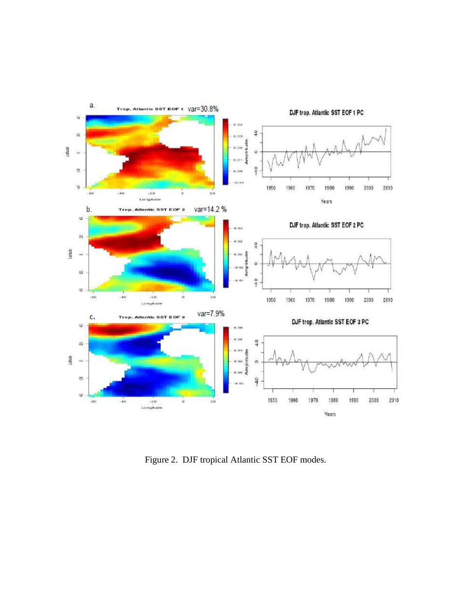

Figure 2. DJF tropical Atlantic SST EOF modes.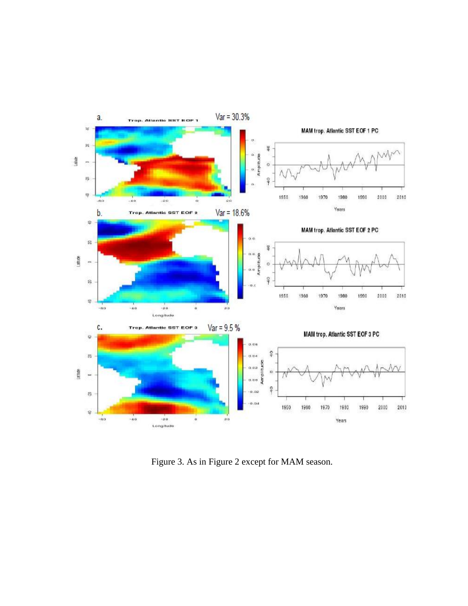

Figure 3. As in Figure 2 except for MAM season.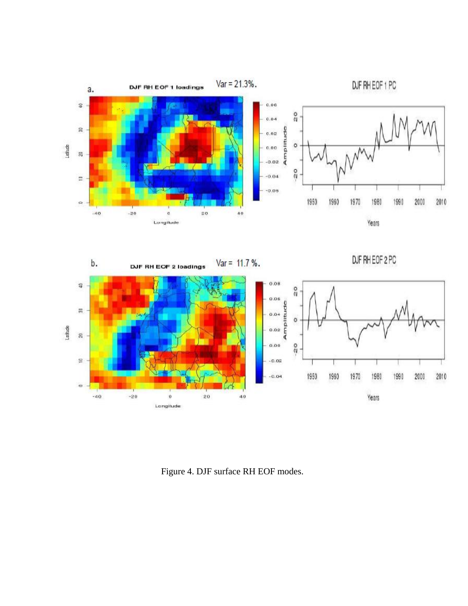



Figure 4. DJF surface RH EOF modes.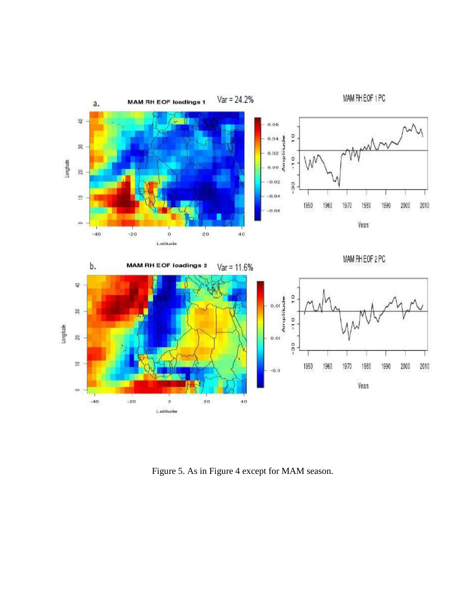

Figure 5. As in Figure 4 except for MAM season.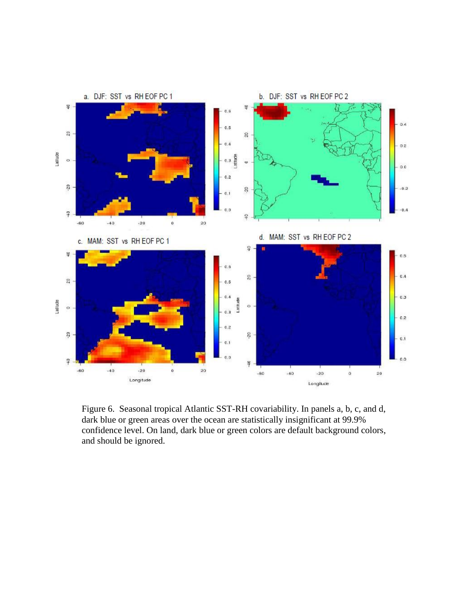

Figure 6. Seasonal tropical Atlantic SST-RH covariability. In panels a, b, c, and d, dark blue or green areas over the ocean are statistically insignificant at 99.9% confidence level. On land, dark blue or green colors are default background colors, and should be ignored.